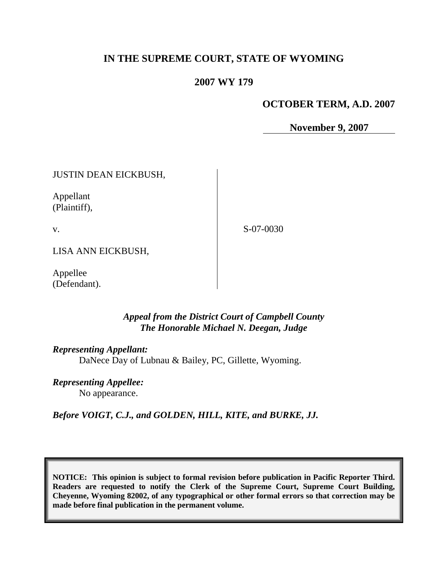# **IN THE SUPREME COURT, STATE OF WYOMING**

# **2007 WY 179**

# **OCTOBER TERM, A.D. 2007**

**November 9, 2007**

JUSTIN DEAN EICKBUSH,

Appellant (Plaintiff),

v.

S-07-0030

LISA ANN EICKBUSH,

Appellee (Defendant).

# *Appeal from the District Court of Campbell County The Honorable Michael N. Deegan, Judge*

### *Representing Appellant:*

DaNece Day of Lubnau & Bailey, PC, Gillette, Wyoming.

*Representing Appellee:*

No appearance.

*Before VOIGT, C.J., and GOLDEN, HILL, KITE, and BURKE, JJ.*

**NOTICE: This opinion is subject to formal revision before publication in Pacific Reporter Third. Readers are requested to notify the Clerk of the Supreme Court, Supreme Court Building, Cheyenne, Wyoming 82002, of any typographical or other formal errors so that correction may be made before final publication in the permanent volume.**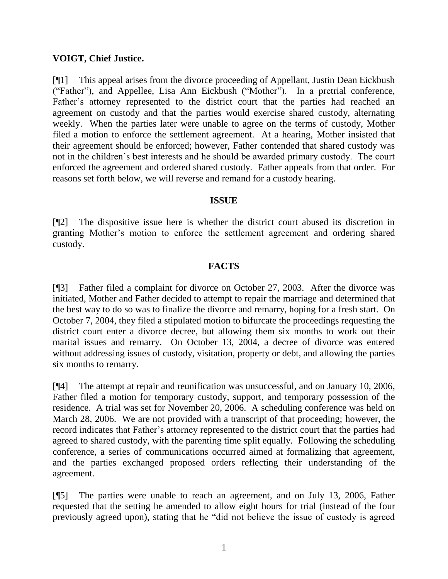# **VOIGT, Chief Justice.**

[¶1] This appeal arises from the divorce proceeding of Appellant, Justin Dean Eickbush ("Father"), and Appellee, Lisa Ann Eickbush ("Mother"). In a pretrial conference, Father"s attorney represented to the district court that the parties had reached an agreement on custody and that the parties would exercise shared custody, alternating weekly. When the parties later were unable to agree on the terms of custody, Mother filed a motion to enforce the settlement agreement. At a hearing, Mother insisted that their agreement should be enforced; however, Father contended that shared custody was not in the children"s best interests and he should be awarded primary custody. The court enforced the agreement and ordered shared custody. Father appeals from that order. For reasons set forth below, we will reverse and remand for a custody hearing.

### **ISSUE**

[¶2] The dispositive issue here is whether the district court abused its discretion in granting Mother"s motion to enforce the settlement agreement and ordering shared custody.

# **FACTS**

[¶3] Father filed a complaint for divorce on October 27, 2003. After the divorce was initiated, Mother and Father decided to attempt to repair the marriage and determined that the best way to do so was to finalize the divorce and remarry, hoping for a fresh start. On October 7, 2004, they filed a stipulated motion to bifurcate the proceedings requesting the district court enter a divorce decree, but allowing them six months to work out their marital issues and remarry. On October 13, 2004, a decree of divorce was entered without addressing issues of custody, visitation, property or debt, and allowing the parties six months to remarry.

[¶4] The attempt at repair and reunification was unsuccessful, and on January 10, 2006, Father filed a motion for temporary custody, support, and temporary possession of the residence. A trial was set for November 20, 2006. A scheduling conference was held on March 28, 2006. We are not provided with a transcript of that proceeding; however, the record indicates that Father"s attorney represented to the district court that the parties had agreed to shared custody, with the parenting time split equally. Following the scheduling conference, a series of communications occurred aimed at formalizing that agreement, and the parties exchanged proposed orders reflecting their understanding of the agreement.

[¶5] The parties were unable to reach an agreement, and on July 13, 2006, Father requested that the setting be amended to allow eight hours for trial (instead of the four previously agreed upon), stating that he "did not believe the issue of custody is agreed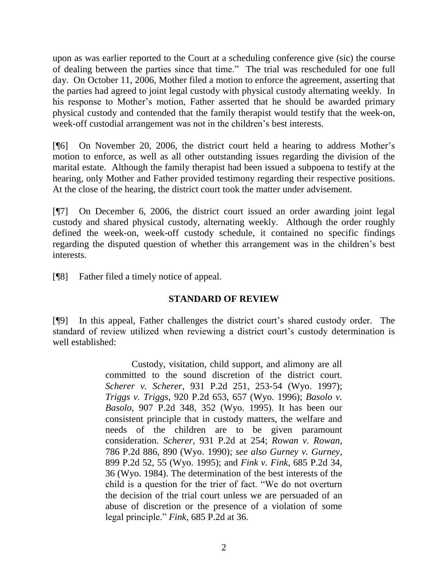upon as was earlier reported to the Court at a scheduling conference give (sic) the course of dealing between the parties since that time." The trial was rescheduled for one full day. On October 11, 2006, Mother filed a motion to enforce the agreement, asserting that the parties had agreed to joint legal custody with physical custody alternating weekly. In his response to Mother's motion, Father asserted that he should be awarded primary physical custody and contended that the family therapist would testify that the week-on, week-off custodial arrangement was not in the children"s best interests.

[¶6] On November 20, 2006, the district court held a hearing to address Mother"s motion to enforce, as well as all other outstanding issues regarding the division of the marital estate. Although the family therapist had been issued a subpoena to testify at the hearing, only Mother and Father provided testimony regarding their respective positions. At the close of the hearing, the district court took the matter under advisement.

[¶7] On December 6, 2006, the district court issued an order awarding joint legal custody and shared physical custody, alternating weekly. Although the order roughly defined the week-on, week-off custody schedule, it contained no specific findings regarding the disputed question of whether this arrangement was in the children"s best interests.

[¶8] Father filed a timely notice of appeal.

# **STANDARD OF REVIEW**

[¶9] In this appeal, Father challenges the district court"s shared custody order. The standard of review utilized when reviewing a district court's custody determination is well established:

> Custody, visitation, child support, and alimony are all committed to the sound discretion of the district court. *Scherer v. Scherer*, 931 P.2d 251, 253-54 (Wyo. 1997); *Triggs v. Triggs*, 920 P.2d 653, 657 (Wyo. 1996); *Basolo v. Basolo*, 907 P.2d 348, 352 (Wyo. 1995). It has been our consistent principle that in custody matters, the welfare and needs of the children are to be given paramount consideration. *Scherer*, 931 P.2d at 254; *Rowan v. Rowan*, 786 P.2d 886, 890 (Wyo. 1990); *see also Gurney v. Gurney*, 899 P.2d 52, 55 (Wyo. 1995); and *Fink v. Fink*, 685 P.2d 34, 36 (Wyo. 1984). The determination of the best interests of the child is a question for the trier of fact. "We do not overturn the decision of the trial court unless we are persuaded of an abuse of discretion or the presence of a violation of some legal principle." *Fink*, 685 P.2d at 36.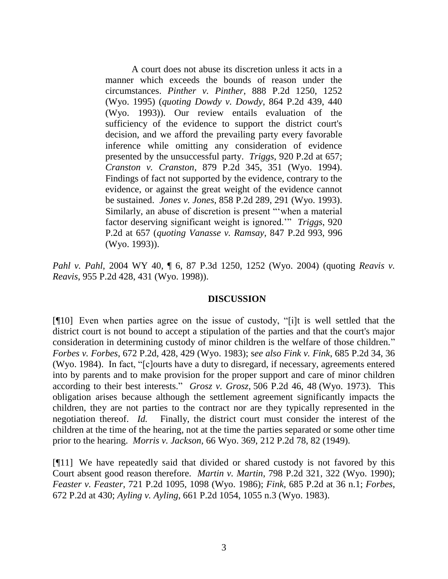A court does not abuse its discretion unless it acts in a manner which exceeds the bounds of reason under the circumstances. *Pinther v. Pinther*, 888 P.2d 1250, 1252 (Wyo. 1995) (*quoting Dowdy v. Dowdy*, 864 P.2d 439, 440 (Wyo. 1993)). Our review entails evaluation of the sufficiency of the evidence to support the district court's decision, and we afford the prevailing party every favorable inference while omitting any consideration of evidence presented by the unsuccessful party. *Triggs*, 920 P.2d at 657; *Cranston v. Cranston*, 879 P.2d 345, 351 (Wyo. 1994). Findings of fact not supported by the evidence, contrary to the evidence, or against the great weight of the evidence cannot be sustained. *Jones v. Jones*, 858 P.2d 289, 291 (Wyo. 1993). Similarly, an abuse of discretion is present ""when a material factor deserving significant weight is ignored."" *Triggs*, 920 P.2d at 657 (*quoting Vanasse v. Ramsay*, 847 P.2d 993, 996 (Wyo. 1993)).

*Pahl v. Pahl*, 2004 WY 40, ¶ 6, 87 P.3d 1250, 1252 (Wyo. 2004) (quoting *Reavis v. Reavis*, 955 P.2d 428, 431 (Wyo. 1998)).

### **DISCUSSION**

[¶10] Even when parties agree on the issue of custody, "[i]t is well settled that the district court is not bound to accept a stipulation of the parties and that the court's major consideration in determining custody of minor children is the welfare of those children." *Forbes v. Forbes*, 672 P.2d, 428, 429 (Wyo. 1983); s*ee also Fink v. Fink*, 685 P.2d 34, 36 (Wyo. 1984). In fact, "[c]ourts have a duty to disregard, if necessary, agreements entered into by parents and to make provision for the proper support and care of minor children according to their best interests." *Grosz v. Grosz*, 506 P.2d 46, 48 (Wyo. 1973). This obligation arises because although the settlement agreement significantly impacts the children, they are not parties to the contract nor are they typically represented in the negotiation thereof. *Id.* Finally, the district court must consider the interest of the children at the time of the hearing, not at the time the parties separated or some other time prior to the hearing. *Morris v. Jackson*, 66 Wyo. 369, 212 P.2d 78, 82 (1949).

[¶11] We have repeatedly said that divided or shared custody is not favored by this Court absent good reason therefore. *Martin v. Martin*, 798 P.2d 321, 322 (Wyo. 1990); *Feaster v. Feaster*, 721 P.2d 1095, 1098 (Wyo. 1986); *Fink*, 685 P.2d at 36 n.1; *Forbes*, 672 P.2d at 430; *Ayling v. Ayling*, 661 P.2d 1054, 1055 n.3 (Wyo. 1983).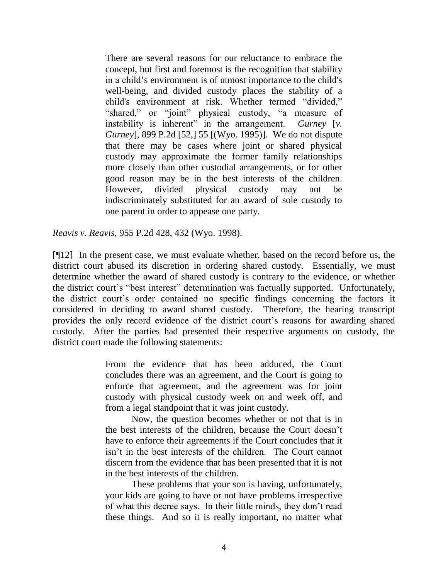There are several reasons for our reluctance to embrace the concept, but first and foremost is the recognition that stability in a child"s environment is of utmost importance to the child's well-being, and divided custody places the stability of a child's environment at risk. Whether termed "divided," "shared," or "joint" physical custody, "a measure of instability is inherent" in the arrangement. *Gurney* [*v. Gurney*], 899 P.2d [52,] 55 [(Wyo. 1995)]. We do not dispute that there may be cases where joint or shared physical custody may approximate the former family relationships more closely than other custodial arrangements, or for other good reason may be in the best interests of the children. However, divided physical custody may not be indiscriminately substituted for an award of sole custody to one parent in order to appease one party.

*Reavis v. Reavis*, 955 P.2d 428, 432 (Wyo. 1998).

[¶12] In the present case, we must evaluate whether, based on the record before us, the district court abused its discretion in ordering shared custody. Essentially, we must determine whether the award of shared custody is contrary to the evidence, or whether the district court"s "best interest" determination was factually supported. Unfortunately, the district court"s order contained no specific findings concerning the factors it considered in deciding to award shared custody. Therefore, the hearing transcript provides the only record evidence of the district court's reasons for awarding shared custody. After the parties had presented their respective arguments on custody, the district court made the following statements:

> From the evidence that has been adduced, the Court concludes there was an agreement, and the Court is going to enforce that agreement, and the agreement was for joint custody with physical custody week on and week off, and from a legal standpoint that it was joint custody.

> Now, the question becomes whether or not that is in the best interests of the children, because the Court doesn"t have to enforce their agreements if the Court concludes that it isn"t in the best interests of the children. The Court cannot discern from the evidence that has been presented that it is not in the best interests of the children.

> These problems that your son is having, unfortunately, your kids are going to have or not have problems irrespective of what this decree says. In their little minds, they don"t read these things. And so it is really important, no matter what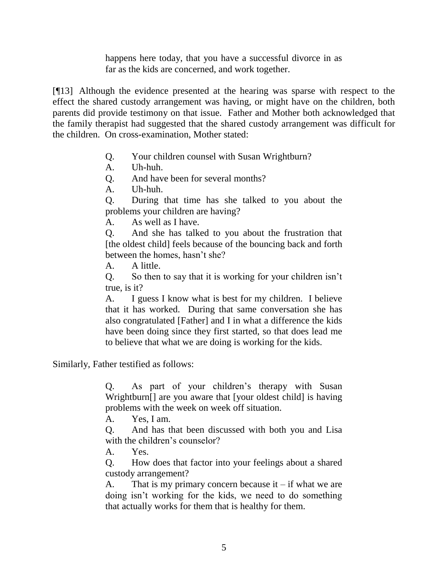happens here today, that you have a successful divorce in as far as the kids are concerned, and work together.

[¶13] Although the evidence presented at the hearing was sparse with respect to the effect the shared custody arrangement was having, or might have on the children, both parents did provide testimony on that issue. Father and Mother both acknowledged that the family therapist had suggested that the shared custody arrangement was difficult for the children. On cross-examination, Mother stated:

- Q. Your children counsel with Susan Wrightburn?
- A. Uh-huh.

Q. And have been for several months?

A. Uh-huh.

Q. During that time has she talked to you about the problems your children are having?

A. As well as I have.

Q. And she has talked to you about the frustration that [the oldest child] feels because of the bouncing back and forth between the homes, hasn't she?

A. A little.

Q. So then to say that it is working for your children isn"t true, is it?

A. I guess I know what is best for my children. I believe that it has worked. During that same conversation she has also congratulated [Father] and I in what a difference the kids have been doing since they first started, so that does lead me to believe that what we are doing is working for the kids.

Similarly, Father testified as follows:

Q. As part of your children"s therapy with Susan Wrightburn[] are you aware that [your oldest child] is having problems with the week on week off situation.

A. Yes, I am.

Q. And has that been discussed with both you and Lisa with the children's counselor?

A. Yes.

Q. How does that factor into your feelings about a shared custody arrangement?

A. That is my primary concern because it  $-$  if what we are doing isn"t working for the kids, we need to do something that actually works for them that is healthy for them.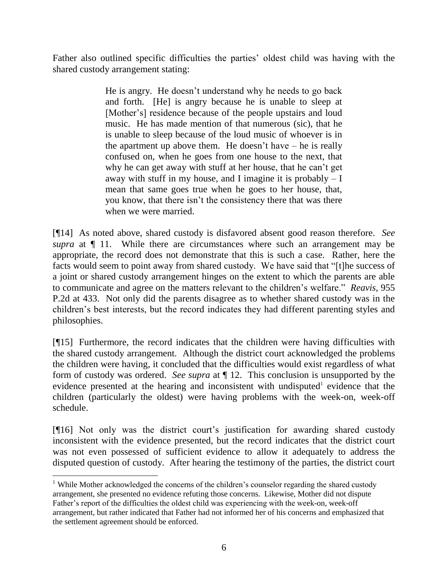Father also outlined specific difficulties the parties' oldest child was having with the shared custody arrangement stating:

> He is angry. He doesn"t understand why he needs to go back and forth. [He] is angry because he is unable to sleep at [Mother's] residence because of the people upstairs and loud music. He has made mention of that numerous (sic), that he is unable to sleep because of the loud music of whoever is in the apartment up above them. He doesn't have  $-$  he is really confused on, when he goes from one house to the next, that why he can get away with stuff at her house, that he can"t get away with stuff in my house, and I imagine it is probably  $-I$ mean that same goes true when he goes to her house, that, you know, that there isn"t the consistency there that was there when we were married.

[¶14] As noted above, shared custody is disfavored absent good reason therefore. *See supra* at  $\P$  11. While there are circumstances where such an arrangement may be appropriate, the record does not demonstrate that this is such a case. Rather, here the facts would seem to point away from shared custody. We have said that "[t]he success of a joint or shared custody arrangement hinges on the extent to which the parents are able to communicate and agree on the matters relevant to the children"s welfare." *Reavis*, 955 P.2d at 433. Not only did the parents disagree as to whether shared custody was in the children"s best interests, but the record indicates they had different parenting styles and philosophies.

[¶15] Furthermore, the record indicates that the children were having difficulties with the shared custody arrangement. Although the district court acknowledged the problems the children were having, it concluded that the difficulties would exist regardless of what form of custody was ordered. *See supra* at ¶ 12. This conclusion is unsupported by the evidence presented at the hearing and inconsistent with undisputed evidence that the children (particularly the oldest) were having problems with the week-on, week-off schedule.

[¶16] Not only was the district court"s justification for awarding shared custody inconsistent with the evidence presented, but the record indicates that the district court was not even possessed of sufficient evidence to allow it adequately to address the disputed question of custody. After hearing the testimony of the parties, the district court

 $\overline{a}$ 

<sup>&</sup>lt;sup>1</sup> While Mother acknowledged the concerns of the children's counselor regarding the shared custody arrangement, she presented no evidence refuting those concerns. Likewise, Mother did not dispute Father"s report of the difficulties the oldest child was experiencing with the week-on, week-off arrangement, but rather indicated that Father had not informed her of his concerns and emphasized that the settlement agreement should be enforced.